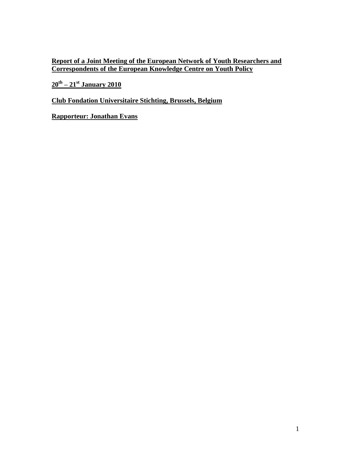**Report of a Joint Meeting of the European Network of Youth Researchers and Correspondents of the European Knowledge Centre on Youth Policy**

**20th – 21st January 2010**

**Club Fondation Universitaire Stichting, Brussels, Belgium**

**Rapporteur: Jonathan Evans**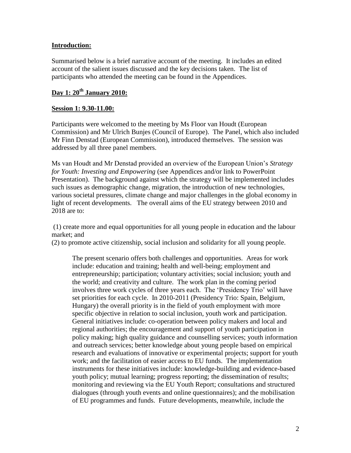### **Introduction:**

Summarised below is a brief narrative account of the meeting. It includes an edited account of the salient issues discussed and the key decisions taken. The list of participants who attended the meeting can be found in the Appendices.

# **Day 1: 20th January 2010:**

### **Session 1: 9.30-11.00:**

Participants were welcomed to the meeting by Ms Floor van Houdt (European Commission) and Mr Ulrich Bunjes (Council of Europe). The Panel, which also included Mr Finn Denstad (European Commission), introduced themselves. The session was addressed by all three panel members.

Ms van Houdt and Mr Denstad provided an overview of the European Union's *Strategy for Youth: Investing and Empowering* (see Appendices and/or link to PowerPoint Presentation). The background against which the strategy will be implemented includes such issues as demographic change, migration, the introduction of new technologies, various societal pressures, climate change and major challenges in the global economy in light of recent developments. The overall aims of the EU strategy between 2010 and 2018 are to:

(1) create more and equal opportunities for all young people in education and the labour market; and

(2) to promote active citizenship, social inclusion and solidarity for all young people.

The present scenario offers both challenges and opportunities. Areas for work include: education and training; health and well-being; employment and entrepreneurship; participation; voluntary activities; social inclusion; youth and the world; and creativity and culture. The work plan in the coming period involves three work cycles of three years each. The 'Presidency Trio' will have set priorities for each cycle. In 2010-2011 (Presidency Trio: Spain, Belgium, Hungary) the overall priority is in the field of youth employment with more specific objective in relation to social inclusion, youth work and participation. General initiatives include: co-operation between policy makers and local and regional authorities; the encouragement and support of youth participation in policy making; high quality guidance and counselling services; youth information and outreach services; better knowledge about young people based on empirical research and evaluations of innovative or experimental projects; support for youth work; and the facilitation of easier access to EU funds. The implementation instruments for these initiatives include: knowledge-building and evidence-based youth policy; mutual learning; progress reporting; the dissemination of results; monitoring and reviewing via the EU Youth Report; consultations and structured dialogues (through youth events and online questionnaires); and the mobilisation of EU programmes and funds. Future developments, meanwhile, include the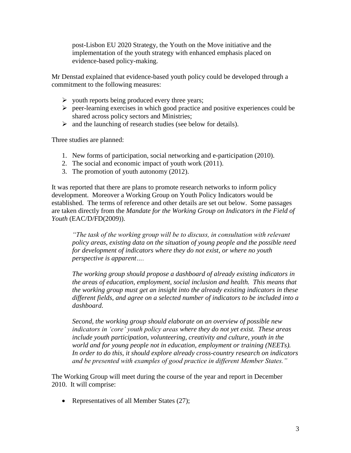post-Lisbon EU 2020 Strategy, the Youth on the Move initiative and the implementation of the youth strategy with enhanced emphasis placed on evidence-based policy-making.

Mr Denstad explained that evidence-based youth policy could be developed through a commitment to the following measures:

- $\triangleright$  youth reports being produced every three years;
- $\triangleright$  peer-learning exercises in which good practice and positive experiences could be shared across policy sectors and Ministries;
- $\triangleright$  and the launching of research studies (see below for details).

Three studies are planned:

- 1. New forms of participation, social networking and e-participation (2010).
- 2. The social and economic impact of youth work (2011).
- 3. The promotion of youth autonomy (2012).

It was reported that there are plans to promote research networks to inform policy development. Moreover a Working Group on Youth Policy Indicators would be established. The terms of reference and other details are set out below. Some passages are taken directly from the *Mandate for the Working Group on Indicators in the Field of Youth* (EAC/D/FD(2009)).

*"The task of the working group will be to discuss, in consultation with relevant policy areas, existing data on the situation of young people and the possible need for development of indicators where they do not exist, or where no youth perspective is apparent….*

*The working group should propose a dashboard of already existing indicators in the areas of education, employment, social inclusion and health. This means that the working group must get an insight into the already existing indicators in these different fields, and agree on a selected number of indicators to be included into a dashboard.*

*Second, the working group should elaborate on an overview of possible new indicators in "core" youth policy areas where they do not yet exist. These areas include youth participation, volunteering, creativity and culture, youth in the world and for young people not in education, employment or training (NEETs). In order to do this, it should explore already cross-country research on indicators and be presented with examples of good practice in different Member States."* 

The Working Group will meet during the course of the year and report in December 2010. It will comprise:

• Representatives of all Member States (27);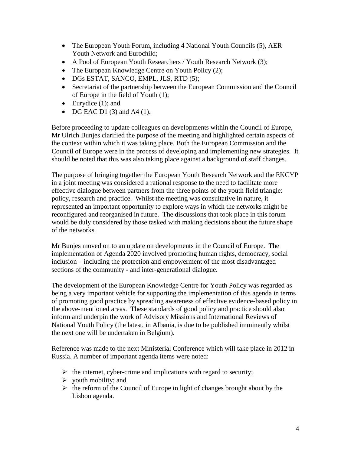- The European Youth Forum, including 4 National Youth Councils (5), AER Youth Network and Eurochild;
- A Pool of European Youth Researchers / Youth Research Network (3);
- The European Knowledge Centre on Youth Policy (2);
- DGs ESTAT, SANCO, EMPL, JLS, RTD (5);
- Secretariat of the partnership between the European Commission and the Council of Europe in the field of Youth (1);
- Eurydice  $(1)$ ; and
- $\bullet$  DG EAC D1 (3) and A4 (1).

Before proceeding to update colleagues on developments within the Council of Europe, Mr Ulrich Bunjes clarified the purpose of the meeting and highlighted certain aspects of the context within which it was taking place. Both the European Commission and the Council of Europe were in the process of developing and implementing new strategies. It should be noted that this was also taking place against a background of staff changes.

The purpose of bringing together the European Youth Research Network and the EKCYP in a joint meeting was considered a rational response to the need to facilitate more effective dialogue between partners from the three points of the youth field triangle: policy, research and practice. Whilst the meeting was consultative in nature, it represented an important opportunity to explore ways in which the networks might be reconfigured and reorganised in future. The discussions that took place in this forum would be duly considered by those tasked with making decisions about the future shape of the networks.

Mr Bunjes moved on to an update on developments in the Council of Europe. The implementation of Agenda 2020 involved promoting human rights, democracy, social inclusion – including the protection and empowerment of the most disadvantaged sections of the community - and inter-generational dialogue.

The development of the European Knowledge Centre for Youth Policy was regarded as being a very important vehicle for supporting the implementation of this agenda in terms of promoting good practice by spreading awareness of effective evidence-based policy in the above-mentioned areas. These standards of good policy and practice should also inform and underpin the work of Advisory Missions and International Reviews of National Youth Policy (the latest, in Albania, is due to be published imminently whilst the next one will be undertaken in Belgium).

Reference was made to the next Ministerial Conference which will take place in 2012 in Russia. A number of important agenda items were noted:

- $\triangleright$  the internet, cyber-crime and implications with regard to security;
- $\triangleright$  youth mobility; and
- $\triangleright$  the reform of the Council of Europe in light of changes brought about by the Lisbon agenda.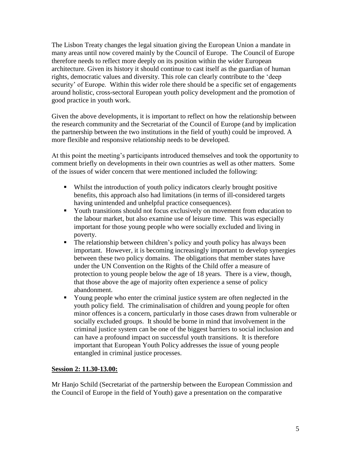The Lisbon Treaty changes the legal situation giving the European Union a mandate in many areas until now covered mainly by the Council of Europe. The Council of Europe therefore needs to reflect more deeply on its position within the wider European architecture. Given its history it should continue to cast itself as the guardian of human rights, democratic values and diversity. This role can clearly contribute to the 'deep security' of Europe. Within this wider role there should be a specific set of engagements around holistic, cross-sectoral European youth policy development and the promotion of good practice in youth work.

Given the above developments, it is important to reflect on how the relationship between the research community and the Secretariat of the Council of Europe (and by implication the partnership between the two institutions in the field of youth) could be improved. A more flexible and responsive relationship needs to be developed.

At this point the meeting's participants introduced themselves and took the opportunity to comment briefly on developments in their own countries as well as other matters. Some of the issues of wider concern that were mentioned included the following:

- Whilst the introduction of youth policy indicators clearly brought positive benefits, this approach also had limitations (in terms of ill-considered targets having unintended and unhelpful practice consequences).
- Youth transitions should not focus exclusively on movement from education to the labour market, but also examine use of leisure time. This was especially important for those young people who were socially excluded and living in poverty.
- The relationship between children's policy and youth policy has always been important. However, it is becoming increasingly important to develop synergies between these two policy domains. The obligations that member states have under the UN Convention on the Rights of the Child offer a measure of protection to young people below the age of 18 years. There is a view, though, that those above the age of majority often experience a sense of policy abandonment.
- Young people who enter the criminal justice system are often neglected in the youth policy field. The criminalisation of children and young people for often minor offences is a concern, particularly in those cases drawn from vulnerable or socially excluded groups. It should be borne in mind that involvement in the criminal justice system can be one of the biggest barriers to social inclusion and can have a profound impact on successful youth transitions. It is therefore important that European Youth Policy addresses the issue of young people entangled in criminal justice processes.

## **Session 2: 11.30-13.00:**

Mr Hanjo Schild (Secretariat of the partnership between the European Commission and the Council of Europe in the field of Youth) gave a presentation on the comparative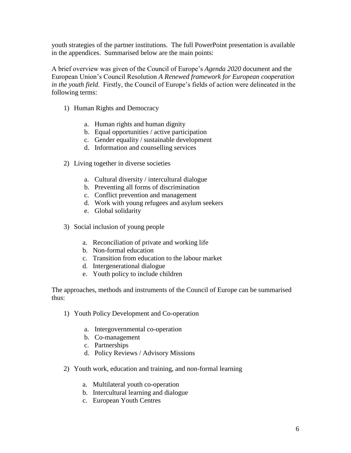youth strategies of the partner institutions. The full PowerPoint presentation is available in the appendices. Summarised below are the main points:

A brief overview was given of the Council of Europe's *Agenda 2020* document and the European Union's Council Resolution *A Renewed framework for European cooperation in the youth field*. Firstly, the Council of Europe's fields of action were delineated in the following terms:

- 1) Human Rights and Democracy
	- a. Human rights and human dignity
	- b. Equal opportunities / active participation
	- c. Gender equality / sustainable development
	- d. Information and counselling services
- 2) Living together in diverse societies
	- a. Cultural diversity / intercultural dialogue
	- b. Preventing all forms of discrimination
	- c. Conflict prevention and management
	- d. Work with young refugees and asylum seekers
	- e. Global solidarity
- 3) Social inclusion of young people
	- a. Reconciliation of private and working life
	- b. Non-formal education
	- c. Transition from education to the labour market
	- d. Intergenerational dialogue
	- e. Youth policy to include children

The approaches, methods and instruments of the Council of Europe can be summarised thus:

- 1) Youth Policy Development and Co-operation
	- a. Intergovernmental co-operation
	- b. Co-management
	- c. Partnerships
	- d. Policy Reviews / Advisory Missions
- 2) Youth work, education and training, and non-formal learning
	- a. Multilateral youth co-operation
	- b. Intercultural learning and dialogue
	- c. European Youth Centres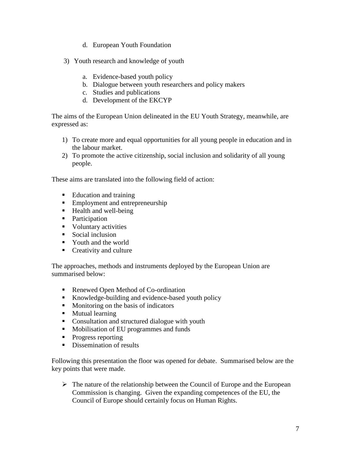- d. European Youth Foundation
- 3) Youth research and knowledge of youth
	- a. Evidence-based youth policy
	- b. Dialogue between youth researchers and policy makers
	- c. Studies and publications
	- d. Development of the EKCYP

The aims of the European Union delineated in the EU Youth Strategy, meanwhile, are expressed as:

- 1) To create more and equal opportunities for all young people in education and in the labour market.
- 2) To promote the active citizenship, social inclusion and solidarity of all young people.

These aims are translated into the following field of action:

- Education and training
- **Employment and entrepreneurship**
- $\blacksquare$  Health and well-being
- Participation
- Voluntary activities
- Social inclusion
- Youth and the world
- Creativity and culture

The approaches, methods and instruments deployed by the European Union are summarised below:

- Renewed Open Method of Co-ordination
- Knowledge-building and evidence-based youth policy
- Monitoring on the basis of indicators
- **Mutual learning**
- Consultation and structured dialogue with youth
- **Mobilisation of EU programmes and funds**
- Progress reporting
- Dissemination of results

Following this presentation the floor was opened for debate. Summarised below are the key points that were made.

 $\triangleright$  The nature of the relationship between the Council of Europe and the European Commission is changing. Given the expanding competences of the EU, the Council of Europe should certainly focus on Human Rights.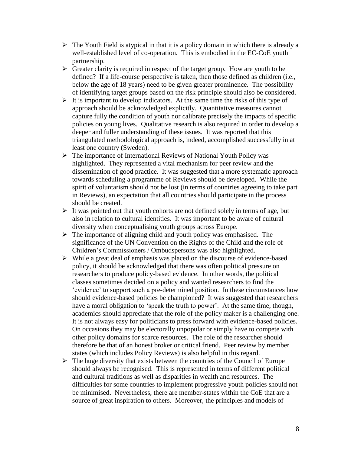- $\triangleright$  The Youth Field is atypical in that it is a policy domain in which there is already a well-established level of co-operation. This is embodied in the EC-CoE youth partnership.
- $\triangleright$  Greater clarity is required in respect of the target group. How are youth to be defined? If a life-course perspective is taken, then those defined as children (i.e., below the age of 18 years) need to be given greater prominence. The possibility of identifying target groups based on the risk principle should also be considered.
- $\triangleright$  It is important to develop indicators. At the same time the risks of this type of approach should be acknowledged explicitly. Quantitative measures cannot capture fully the condition of youth nor calibrate precisely the impacts of specific policies on young lives. Qualitative research is also required in order to develop a deeper and fuller understanding of these issues. It was reported that this triangulated methodological approach is, indeed, accomplished successfully in at least one country (Sweden).
- The importance of International Reviews of National Youth Policy was highlighted. They represented a vital mechanism for peer review and the dissemination of good practice. It was suggested that a more systematic approach towards scheduling a programme of Reviews should be developed. While the spirit of voluntarism should not be lost (in terms of countries agreeing to take part in Reviews), an expectation that all countries should participate in the process should be created.
- $\triangleright$  It was pointed out that youth cohorts are not defined solely in terms of age, but also in relation to cultural identities. It was important to be aware of cultural diversity when conceptualising youth groups across Europe.
- $\triangleright$  The importance of aligning child and youth policy was emphasised. The significance of the UN Convention on the Rights of the Child and the role of Children's Commissioners / Ombudspersons was also highlighted.
- $\triangleright$  While a great deal of emphasis was placed on the discourse of evidence-based policy, it should be acknowledged that there was often political pressure on researchers to produce policy-based evidence. In other words, the political classes sometimes decided on a policy and wanted researchers to find the 'evidence' to support such a pre-determined position. In these circumstances how should evidence-based policies be championed? It was suggested that researchers have a moral obligation to 'speak the truth to power'. At the same time, though, academics should appreciate that the role of the policy maker is a challenging one. It is not always easy for politicians to press forward with evidence-based policies. On occasions they may be electorally unpopular or simply have to compete with other policy domains for scarce resources. The role of the researcher should therefore be that of an honest broker or critical friend. Peer review by member states (which includes Policy Reviews) is also helpful in this regard.
- $\triangleright$  The huge diversity that exists between the countries of the Council of Europe should always be recognised. This is represented in terms of different political and cultural traditions as well as disparities in wealth and resources. The difficulties for some countries to implement progressive youth policies should not be minimised. Nevertheless, there are member-states within the CoE that are a source of great inspiration to others. Moreover, the principles and models of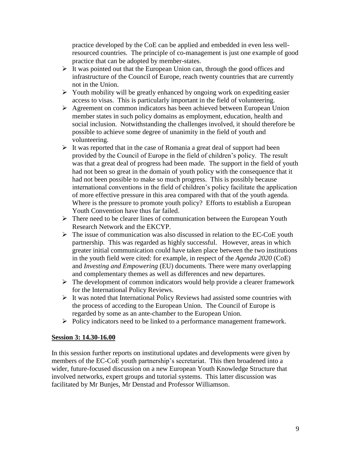practice developed by the CoE can be applied and embedded in even less wellresourced countries. The principle of co-management is just one example of good practice that can be adopted by member-states.

- $\triangleright$  It was pointed out that the European Union can, through the good offices and infrastructure of the Council of Europe, reach twenty countries that are currently not in the Union.
- $\triangleright$  Youth mobility will be greatly enhanced by ongoing work on expediting easier access to visas. This is particularly important in the field of volunteering.
- $\triangleright$  Agreement on common indicators has been achieved between European Union member states in such policy domains as employment, education, health and social inclusion. Notwithstanding the challenges involved, it should therefore be possible to achieve some degree of unanimity in the field of youth and volunteering.
- $\triangleright$  It was reported that in the case of Romania a great deal of support had been provided by the Council of Europe in the field of children's policy. The result was that a great deal of progress had been made. The support in the field of youth had not been so great in the domain of youth policy with the consequence that it had not been possible to make so much progress. This is possibly because international conventions in the field of children's policy facilitate the application of more effective pressure in this area compared with that of the youth agenda. Where is the pressure to promote youth policy? Efforts to establish a European Youth Convention have thus far failed.
- $\triangleright$  There need to be clearer lines of communication between the European Youth Research Network and the EKCYP.
- $\triangleright$  The issue of communication was also discussed in relation to the EC-CoE youth partnership. This was regarded as highly successful. However, areas in which greater initial communication could have taken place between the two institutions in the youth field were cited: for example, in respect of the *Agenda 2020* (CoE) and *Investing and Empowering* (EU) documents. There were many overlapping and complementary themes as well as differences and new departures.
- $\triangleright$  The development of common indicators would help provide a clearer framework for the International Policy Reviews.
- $\triangleright$  It was noted that International Policy Reviews had assisted some countries with the process of acceding to the European Union. The Council of Europe is regarded by some as an ante-chamber to the European Union.
- $\triangleright$  Policy indicators need to be linked to a performance management framework.

#### **Session 3: 14.30-16.00**

In this session further reports on institutional updates and developments were given by members of the EC-CoE youth partnership's secretariat. This then broadened into a wider, future-focused discussion on a new European Youth Knowledge Structure that involved networks, expert groups and tutorial systems. This latter discussion was facilitated by Mr Bunjes, Mr Denstad and Professor Williamson.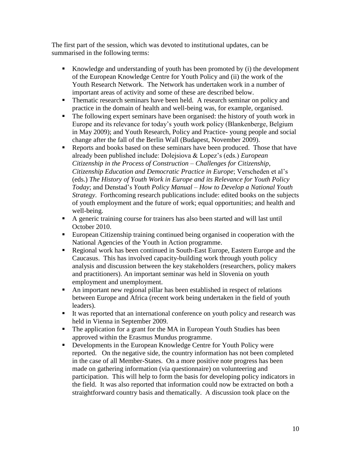The first part of the session, which was devoted to institutional updates, can be summarised in the following terms:

- Knowledge and understanding of youth has been promoted by (i) the development of the European Knowledge Centre for Youth Policy and (ii) the work of the Youth Research Network. The Network has undertaken work in a number of important areas of activity and some of these are described below.
- Thematic research seminars have been held. A research seminar on policy and practice in the domain of health and well-being was, for example, organised.
- The following expert seminars have been organised: the history of youth work in Europe and its relevance for today's youth work policy (Blankenberge, Belgium in May 2009); and Youth Research, Policy and Practice- young people and social change after the fall of the Berlin Wall (Budapest, November 2009).
- Reports and books based on these seminars have been produced. Those that have already been published include: Dolejsiova & Lopez's (eds.) *European Citizenship in the Process of Construction – Challenges for Citizenship, Citizenship Education and Democratic Practice in Europe*; Verscheden et al's (eds.) *The History of Youth Work in Europe and its Relevance for Youth Policy Today*; and Denstad's *Youth Policy Manual – How to Develop a National Youth Strategy*. Forthcoming research publications include: edited books on the subjects of youth employment and the future of work; equal opportunities; and health and well-being.
- A generic training course for trainers has also been started and will last until October 2010.
- European Citizenship training continued being organised in cooperation with the National Agencies of the Youth in Action programme.
- Regional work has been continued in South-East Europe, Eastern Europe and the Caucasus. This has involved capacity-building work through youth policy analysis and discussion between the key stakeholders (researchers, policy makers and practitioners). An important seminar was held in Slovenia on youth employment and unemployment.
- An important new regional pillar has been established in respect of relations between Europe and Africa (recent work being undertaken in the field of youth leaders).
- It was reported that an international conference on youth policy and research was held in Vienna in September 2009.
- The application for a grant for the MA in European Youth Studies has been approved within the Erasmus Mundus programme.
- Developments in the European Knowledge Centre for Youth Policy were reported. On the negative side, the country information has not been completed in the case of all Member-States. On a more positive note progress has been made on gathering information (via questionnaire) on volunteering and participation. This will help to form the basis for developing policy indicators in the field. It was also reported that information could now be extracted on both a straightforward country basis and thematically. A discussion took place on the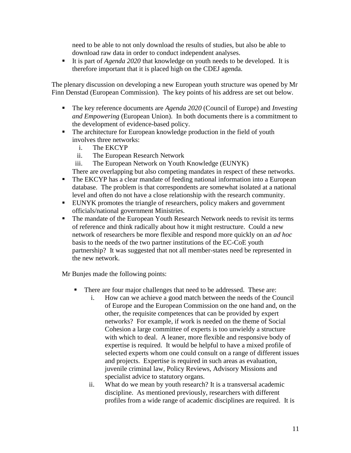need to be able to not only download the results of studies, but also be able to download raw data in order to conduct independent analyses.

It is part of *Agenda 2020* that knowledge on youth needs to be developed. It is therefore important that it is placed high on the CDEJ agenda.

The plenary discussion on developing a new European youth structure was opened by Mr Finn Denstad (European Commission). The key points of his address are set out below.

- The key reference documents are *Agenda 2020* (Council of Europe) and *Investing and Empowering* (European Union). In both documents there is a commitment to the development of evidence-based policy.
- The architecture for European knowledge production in the field of youth involves three networks:
	- i. The EKCYP
	- ii. The European Research Network
	- iii. The European Network on Youth Knowledge (EUNYK)

There are overlapping but also competing mandates in respect of these networks.

- The EKCYP has a clear mandate of feeding national information into a European database. The problem is that correspondents are somewhat isolated at a national level and often do not have a close relationship with the research community.
- EUNYK promotes the triangle of researchers, policy makers and government officials/national government Ministries.
- The mandate of the European Youth Research Network needs to revisit its terms of reference and think radically about how it might restructure. Could a new network of researchers be more flexible and respond more quickly on an *ad hoc* basis to the needs of the two partner institutions of the EC-CoE youth partnership? It was suggested that not all member-states need be represented in the new network.

Mr Bunjes made the following points:

- There are four major challenges that need to be addressed. These are:
	- i. How can we achieve a good match between the needs of the Council of Europe and the European Commission on the one hand and, on the other, the requisite competences that can be provided by expert networks? For example, if work is needed on the theme of Social Cohesion a large committee of experts is too unwieldy a structure with which to deal. A leaner, more flexible and responsive body of expertise is required. It would be helpful to have a mixed profile of selected experts whom one could consult on a range of different issues and projects. Expertise is required in such areas as evaluation, juvenile criminal law, Policy Reviews, Advisory Missions and specialist advice to statutory organs.
	- ii. What do we mean by youth research? It is a transversal academic discipline. As mentioned previously, researchers with different profiles from a wide range of academic disciplines are required. It is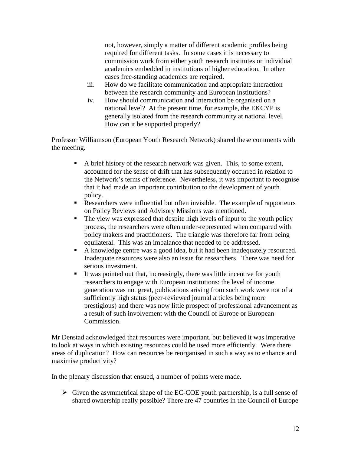not, however, simply a matter of different academic profiles being required for different tasks. In some cases it is necessary to commission work from either youth research institutes or individual academics embedded in institutions of higher education. In other cases free-standing academics are required.

- iii. How do we facilitate communication and appropriate interaction between the research community and European institutions?
- iv. How should communication and interaction be organised on a national level? At the present time, for example, the EKCYP is generally isolated from the research community at national level. How can it be supported properly?

Professor Williamson (European Youth Research Network) shared these comments with the meeting.

- A brief history of the research network was given. This, to some extent, accounted for the sense of drift that has subsequently occurred in relation to the Network's terms of reference. Nevertheless, it was important to recognise that it had made an important contribution to the development of youth policy.
- Researchers were influential but often invisible. The example of rapporteurs on Policy Reviews and Advisory Missions was mentioned.
- The view was expressed that despite high levels of input to the youth policy process, the researchers were often under-represented when compared with policy makers and practitioners. The triangle was therefore far from being equilateral. This was an imbalance that needed to be addressed.
- A knowledge centre was a good idea, but it had been inadequately resourced. Inadequate resources were also an issue for researchers. There was need for serious investment.
- It was pointed out that, increasingly, there was little incentive for youth researchers to engage with European institutions: the level of income generation was not great, publications arising from such work were not of a sufficiently high status (peer-reviewed journal articles being more prestigious) and there was now little prospect of professional advancement as a result of such involvement with the Council of Europe or European Commission.

Mr Denstad acknowledged that resources were important, but believed it was imperative to look at ways in which existing resources could be used more efficiently. Were there areas of duplication? How can resources be reorganised in such a way as to enhance and maximise productivity?

In the plenary discussion that ensued, a number of points were made.

 $\triangleright$  Given the asymmetrical shape of the EC-COE youth partnership, is a full sense of shared ownership really possible? There are 47 countries in the Council of Europe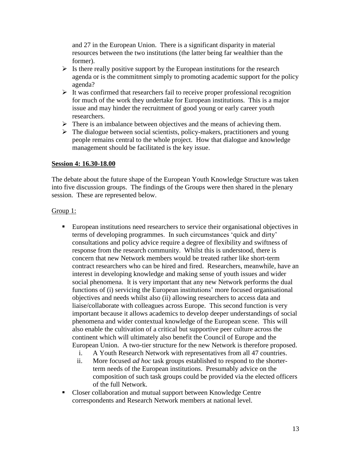and 27 in the European Union. There is a significant disparity in material resources between the two institutions (the latter being far wealthier than the former).

- $\triangleright$  Is there really positive support by the European institutions for the research agenda or is the commitment simply to promoting academic support for the policy agenda?
- $\triangleright$  It was confirmed that researchers fail to receive proper professional recognition for much of the work they undertake for European institutions. This is a major issue and may hinder the recruitment of good young or early career youth researchers.
- $\triangleright$  There is an imbalance between objectives and the means of achieving them.
- $\triangleright$  The dialogue between social scientists, policy-makers, practitioners and young people remains central to the whole project. How that dialogue and knowledge management should be facilitated is the key issue.

### **Session 4: 16.30-18.00**

The debate about the future shape of the European Youth Knowledge Structure was taken into five discussion groups. The findings of the Groups were then shared in the plenary session. These are represented below.

### Group 1:

- European institutions need researchers to service their organisational objectives in terms of developing programmes. In such circumstances 'quick and dirty' consultations and policy advice require a degree of flexibility and swiftness of response from the research community. Whilst this is understood, there is concern that new Network members would be treated rather like short-term contract researchers who can be hired and fired. Researchers, meanwhile, have an interest in developing knowledge and making sense of youth issues and wider social phenomena. It is very important that any new Network performs the dual functions of (i) servicing the European institutions' more focused organisational objectives and needs whilst also (ii) allowing researchers to access data and liaise/collaborate with colleagues across Europe. This second function is very important because it allows academics to develop deeper understandings of social phenomena and wider contextual knowledge of the European scene. This will also enable the cultivation of a critical but supportive peer culture across the continent which will ultimately also benefit the Council of Europe and the European Union. A two-tier structure for the new Network is therefore proposed.
	- i. A Youth Research Network with representatives from all 47 countries.
	- ii. More focused *ad hoc* task groups established to respond to the shorterterm needs of the European institutions. Presumably advice on the composition of such task groups could be provided via the elected officers of the full Network.
- Closer collaboration and mutual support between Knowledge Centre correspondents and Research Network members at national level.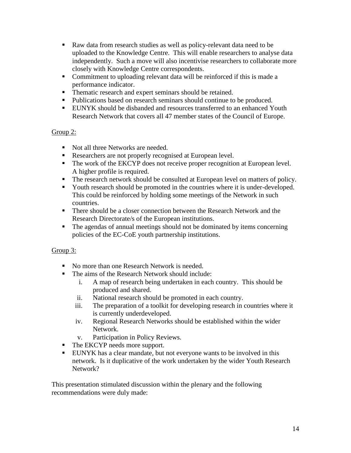- Raw data from research studies as well as policy-relevant data need to be uploaded to the Knowledge Centre. This will enable researchers to analyse data independently. Such a move will also incentivise researchers to collaborate more closely with Knowledge Centre correspondents.
- Commitment to uploading relevant data will be reinforced if this is made a performance indicator.
- **Thematic research and expert seminars should be retained.**
- Publications based on research seminars should continue to be produced.
- EUNYK should be disbanded and resources transferred to an enhanced Youth Research Network that covers all 47 member states of the Council of Europe.

# Group 2:

- Not all three Networks are needed.
- Researchers are not properly recognised at European level.
- The work of the EKCYP does not receive proper recognition at European level. A higher profile is required.
- The research network should be consulted at European level on matters of policy.
- Youth research should be promoted in the countries where it is under-developed. This could be reinforced by holding some meetings of the Network in such countries.
- There should be a closer connection between the Research Network and the Research Directorate/s of the European institutions.
- The agendas of annual meetings should not be dominated by items concerning policies of the EC-CoE youth partnership institutions.

## Group 3:

- No more than one Research Network is needed.
- The aims of the Research Network should include:
	- i. A map of research being undertaken in each country. This should be produced and shared.
	- ii. National research should be promoted in each country.
	- iii. The preparation of a toolkit for developing research in countries where it is currently underdeveloped.
	- iv. Regional Research Networks should be established within the wider Network.
	- v. Participation in Policy Reviews.
- The EKCYP needs more support.
- EUNYK has a clear mandate, but not everyone wants to be involved in this network. Is it duplicative of the work undertaken by the wider Youth Research Network?

This presentation stimulated discussion within the plenary and the following recommendations were duly made: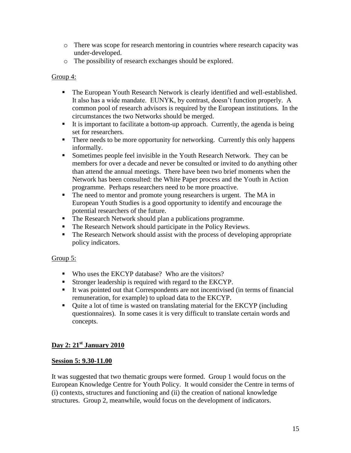- o There was scope for research mentoring in countries where research capacity was under-developed.
- o The possibility of research exchanges should be explored.

## Group 4:

- The European Youth Research Network is clearly identified and well-established. It also has a wide mandate. EUNYK, by contrast, doesn't function properly. A common pool of research advisors is required by the European institutions. In the circumstances the two Networks should be merged.
- It is important to facilitate a bottom-up approach. Currently, the agenda is being set for researchers.
- There needs to be more opportunity for networking. Currently this only happens informally.
- Sometimes people feel invisible in the Youth Research Network. They can be members for over a decade and never be consulted or invited to do anything other than attend the annual meetings. There have been two brief moments when the Network has been consulted: the White Paper process and the Youth in Action programme. Perhaps researchers need to be more proactive.
- The need to mentor and promote young researchers is urgent. The MA in European Youth Studies is a good opportunity to identify and encourage the potential researchers of the future.
- The Research Network should plan a publications programme.
- The Research Network should participate in the Policy Reviews.
- The Research Network should assist with the process of developing appropriate policy indicators.

# Group 5:

- Who uses the EKCYP database? Who are the visitors?
- Stronger leadership is required with regard to the EKCYP.
- It was pointed out that Correspondents are not incentivised (in terms of financial remuneration, for example) to upload data to the EKCYP.
- Quite a lot of time is wasted on translating material for the EKCYP (including questionnaires). In some cases it is very difficult to translate certain words and concepts.

# **Day 2: 21st January 2010**

## **Session 5: 9.30-11.00**

It was suggested that two thematic groups were formed. Group 1 would focus on the European Knowledge Centre for Youth Policy. It would consider the Centre in terms of (i) contexts, structures and functioning and (ii) the creation of national knowledge structures. Group 2, meanwhile, would focus on the development of indicators.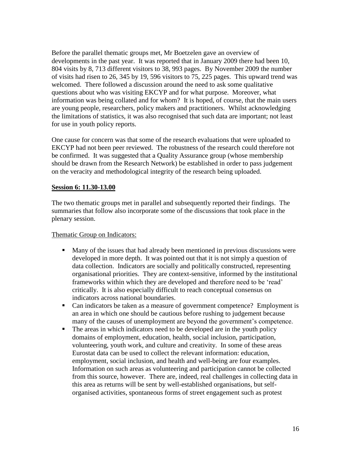Before the parallel thematic groups met, Mr Boetzelen gave an overview of developments in the past year. It was reported that in January 2009 there had been 10, 804 visits by 8, 713 different visitors to 38, 993 pages. By November 2009 the number of visits had risen to 26, 345 by 19, 596 visitors to 75, 225 pages. This upward trend was welcomed. There followed a discussion around the need to ask some qualitative questions about who was visiting EKCYP and for what purpose. Moreover, what information was being collated and for whom? It is hoped, of course, that the main users are young people, researchers, policy makers and practitioners. Whilst acknowledging the limitations of statistics, it was also recognised that such data are important; not least for use in youth policy reports.

One cause for concern was that some of the research evaluations that were uploaded to EKCYP had not been peer reviewed. The robustness of the research could therefore not be confirmed. It was suggested that a Quality Assurance group (whose membership should be drawn from the Research Network) be established in order to pass judgement on the veracity and methodological integrity of the research being uploaded.

### **Session 6: 11.30-13.00**

The two thematic groups met in parallel and subsequently reported their findings. The summaries that follow also incorporate some of the discussions that took place in the plenary session.

## Thematic Group on Indicators:

- Many of the issues that had already been mentioned in previous discussions were developed in more depth. It was pointed out that it is not simply a question of data collection. Indicators are socially and politically constructed, representing organisational priorities. They are context-sensitive, informed by the institutional frameworks within which they are developed and therefore need to be 'read' critically. It is also especially difficult to reach conceptual consensus on indicators across national boundaries.
- Can indicators be taken as a measure of government competence? Employment is an area in which one should be cautious before rushing to judgement because many of the causes of unemployment are beyond the government's competence.
- The areas in which indicators need to be developed are in the youth policy domains of employment, education, health, social inclusion, participation, volunteering, youth work, and culture and creativity. In some of these areas Eurostat data can be used to collect the relevant information: education, employment, social inclusion, and health and well-being are four examples. Information on such areas as volunteering and participation cannot be collected from this source, however. There are, indeed, real challenges in collecting data in this area as returns will be sent by well-established organisations, but selforganised activities, spontaneous forms of street engagement such as protest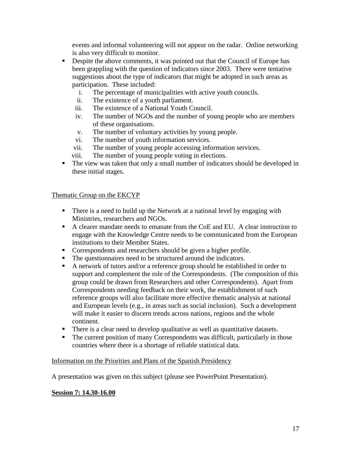events and informal volunteering will not appear on the radar. Online networking is also very difficult to monitor.

- Despite the above comments, it was pointed out that the Council of Europe has been grappling with the question of indicators since 2003. There were tentative suggestions about the type of indicators that might be adopted in such areas as participation. These included:
	- i. The percentage of municipalities with active youth councils.
	- ii. The existence of a youth parliament.
	- iii. The existence of a National Youth Council.
	- iv. The number of NGOs and the number of young people who are members of these organisations.
	- v. The number of voluntary activities by young people.
	- vi. The number of youth information services.
	- vii. The number of young people accessing information services.
	- viii. The number of young people voting in elections.
- The view was taken that only a small number of indicators should be developed in these initial stages.

#### Thematic Group on the EKCYP

- There is a need to build up the Network at a national level by engaging with Ministries, researchers and NGOs.
- A clearer mandate needs to emanate from the CoE and EU. A clear instruction to engage with the Knowledge Centre needs to be communicated from the European institutions to their Member States.
- Correspondents and researchers should be given a higher profile.
- The questionnaires need to be structured around the indicators.
- A network of tutors and/or a reference group should be established in order to support and complement the role of the Correspondents. (The composition of this group could be drawn from Researchers and other Correspondents). Apart from Correspondents needing feedback on their work, the establishment of such reference groups will also facilitate more effective thematic analysis at national and European levels (e.g., in areas such as social inclusion). Such a development will make it easier to discern trends across nations, regions and the whole continent.
- There is a clear need to develop qualitative as well as quantitative datasets.
- The current position of many Correspondents was difficult, particularly in those countries where there is a shortage of reliable statistical data.

#### Information on the Priorities and Plans of the Spanish Presidency

A presentation was given on this subject (please see PowerPoint Presentation).

#### **Session 7: 14.30-16.00**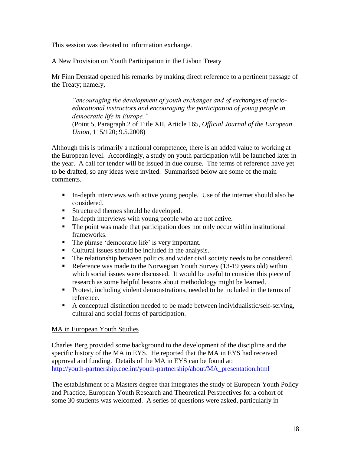This session was devoted to information exchange.

### A New Provision on Youth Participation in the Lisbon Treaty

Mr Finn Denstad opened his remarks by making direct reference to a pertinent passage of the Treaty; namely,

*"encouraging the development of youth exchanges and of exchanges of socioeducational instructors and encouraging the participation of young people in democratic life in Europe."*

(Point 5, Paragraph 2 of Title XII, Article 165, *Official Journal of the European Union*, 115/120; 9.5.2008)

Although this is primarily a national competence, there is an added value to working at the European level. Accordingly, a study on youth participation will be launched later in the year. A call for tender will be issued in due course. The terms of reference have yet to be drafted, so any ideas were invited. Summarised below are some of the main comments.

- In-depth interviews with active young people. Use of the internet should also be considered.
- **Structured themes should be developed.**
- In-depth interviews with young people who are not active.
- The point was made that participation does not only occur within institutional frameworks.
- The phrase 'democratic life' is very important.
- Cultural issues should be included in the analysis.
- The relationship between politics and wider civil society needs to be considered.
- Reference was made to the Norwegian Youth Survey (13-19 years old) within which social issues were discussed. It would be useful to consider this piece of research as some helpful lessons about methodology might be learned.
- Protest, including violent demonstrations, needed to be included in the terms of reference.
- A conceptual distinction needed to be made between individualistic/self-serving, cultural and social forms of participation.

## MA in European Youth Studies

Charles Berg provided some background to the development of the discipline and the specific history of the MA in EYS. He reported that the MA in EYS had received approval and funding. Details of the MA in EYS can be found at: [http://youth-partnership.coe.int/youth-partnership/about/MA\\_presentation.html](http://youth-partnership.coe.int/youth-partnership/about/MA_presentation.html)

The establishment of a Masters degree that integrates the study of European Youth Policy and Practice, European Youth Research and Theoretical Perspectives for a cohort of some 30 students was welcomed. A series of questions were asked, particularly in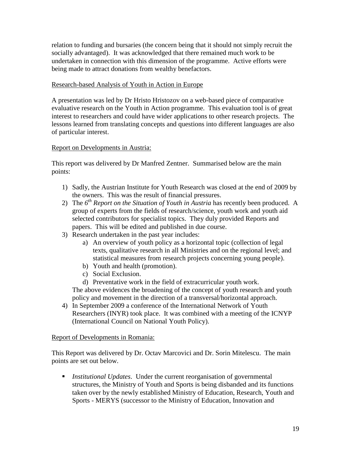relation to funding and bursaries (the concern being that it should not simply recruit the socially advantaged). It was acknowledged that there remained much work to be undertaken in connection with this dimension of the programme. Active efforts were being made to attract donations from wealthy benefactors.

### Research-based Analysis of Youth in Action in Europe

A presentation was led by Dr Hristo Hristozov on a web-based piece of comparative evaluative research on the Youth in Action programme. This evaluation tool is of great interest to researchers and could have wider applications to other research projects. The lessons learned from translating concepts and questions into different languages are also of particular interest.

### Report on Developments in Austria:

This report was delivered by Dr Manfred Zentner. Summarised below are the main points:

- 1) Sadly, the Austrian Institute for Youth Research was closed at the end of 2009 by the owners. This was the result of financial pressures.
- 2) The *6 th Report on the Situation of Youth in Austria* has recently been produced. A group of experts from the fields of research/science, youth work and youth aid selected contributors for specialist topics. They duly provided Reports and papers. This will be edited and published in due course.
- 3) Research undertaken in the past year includes:
	- a) An overview of youth policy as a horizontal topic (collection of legal texts, qualitative research in all Ministries and on the regional level; and statistical measures from research projects concerning young people).
	- b) Youth and health (promotion).
	- c) Social Exclusion.
	- d) Preventative work in the field of extracurricular youth work.

The above evidences the broadening of the concept of youth research and youth policy and movement in the direction of a transversal/horizontal approach.

4) In September 2009 a conference of the International Network of Youth Researchers (INYR) took place. It was combined with a meeting of the ICNYP (International Council on National Youth Policy).

#### Report of Developments in Romania:

This Report was delivered by Dr. Octav Marcovici and Dr. Sorin Mitelescu. The main points are set out below.

 *Institutional Updates*. Under the current reorganisation of governmental structures, the Ministry of Youth and Sports is being disbanded and its functions taken over by the newly established Ministry of Education, Research, Youth and Sports - MERYS (successor to the Ministry of Education, Innovation and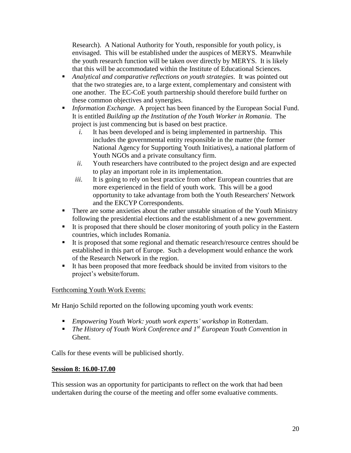Research). A National Authority for Youth, responsible for youth policy, is envisaged. This will be established under the auspices of MERYS. Meanwhile the youth research function will be taken over directly by MERYS. It is likely that this will be accommodated within the Institute of Educational Sciences.

- *Analytical and comparative reflections on youth strategies*. It was pointed out that the two strategies are, to a large extent, complementary and consistent with one another. The EC-CoE youth partnership should therefore build further on these common objectives and synergies.
- *Information Exchange*. A project has been financed by the European Social Fund. It is entitled *Building up the Institution of the Youth Worker in Romania*. The project is just commencing but is based on best practice.
	- *i.* It has been developed and is being implemented in partnership. This includes the governmental entity responsible in the matter (the former National Agency for Supporting Youth Initiatives), a national platform of Youth NGOs and a private consultancy firm.
	- *ii.* Youth researchers have contributed to the project design and are expected to play an important role in its implementation.
	- *iii.* It is going to rely on best practice from other European countries that are more experienced in the field of youth work. This will be a good opportunity to take advantage from both the Youth Researchers' Network and the EKCYP Correspondents.
- There are some anxieties about the rather unstable situation of the Youth Ministry following the presidential elections and the establishment of a new government.
- It is proposed that there should be closer monitoring of youth policy in the Eastern countries, which includes Romania.
- It is proposed that some regional and thematic research/resource centres should be established in this part of Europe. Such a development would enhance the work of the Research Network in the region.
- It has been proposed that more feedback should be invited from visitors to the project's website/forum.

# Forthcoming Youth Work Events:

Mr Hanjo Schild reported on the following upcoming youth work events:

- *Empowering Youth Work: youth work experts" workshop* in Rotterdam.
- *The History of Youth Work Conference and 1st European Youth Convention* in Ghent.

Calls for these events will be publicised shortly.

## **Session 8: 16.00-17.00**

This session was an opportunity for participants to reflect on the work that had been undertaken during the course of the meeting and offer some evaluative comments.